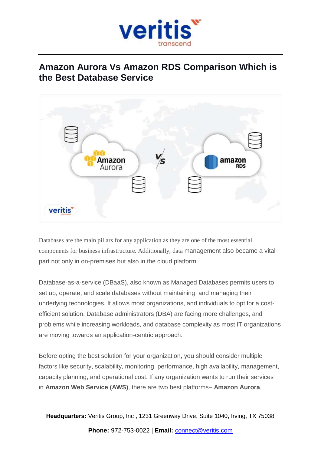

# **Amazon Aurora Vs Amazon RDS Comparison Which is the Best Database Service**



Databases are the main pillars for any application as they are one of the most essential components for business infrastructure. Additionally, data management also became a vital part not only in on-premises but also in the cloud platform.

Database-as-a-service (DBaaS), also known as Managed Databases permits users to set up, operate, and scale databases without maintaining, and managing their underlying technologies. It allows most organizations, and individuals to opt for a costefficient solution. Database administrators (DBA) are facing more challenges, and problems while increasing workloads, and database complexity as most IT organizations are moving towards an application-centric approach.

Before opting the best solution for your organization, you should consider multiple factors like security, scalability, monitoring, performance, high availability, management, capacity planning, and operational cost. If any organization wants to run their services in **Amazon Web Service (AWS)**, there are two best platforms– **Amazon Aurora**,

**Headquarters:** Veritis Group, Inc , 1231 Greenway Drive, Suite 1040, Irving, TX 75038

**Phone:** 972-753-0022 | **Email:** [connect@veritis.com](mailto:connect@veritis.com)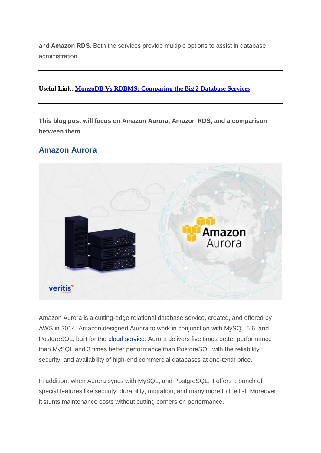and **Amazon RDS**. Both the services provide multiple options to assist in database administration.

#### **Useful Link: [MongoDB Vs RDBMS: Comparing the Big 2 Database Services](https://www.veritis.com/blog/mongodb-vs-rdbms-comparing-the-big-2-database-services/)**

**This blog post will focus on Amazon Aurora, Amazon RDS, and a comparison between them.**

## **Amazon Aurora**



Amazon Aurora is a cutting-edge relational database service, created, and offered by AWS in 2014. Amazon designed Aurora to work in conjunction with MySQL 5.6, and PostgreSQL, built for the cloud [service.](https://www.veritis.com/solutions/cloud/) Aurora delivers five times better performance than MySQL and 3 times better performance than PostgreSQL with the reliability, security, and availability of high-end commercial databases at one-tenth price.

In addition, when Aurora syncs with MySQL, and PostgreSQL, it offers a bunch of special features like security, durability, migration, and many more to the list. Moreover, it stunts maintenance costs without cutting corners on performance.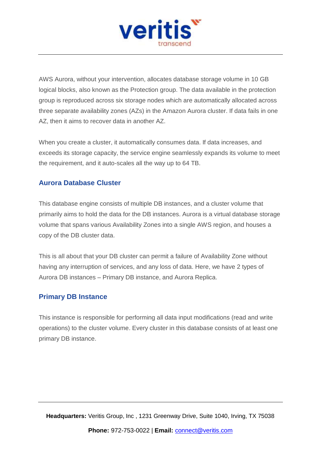

AWS Aurora, without your intervention, allocates database storage volume in 10 GB logical blocks, also known as the Protection group. The data available in the protection group is reproduced across six storage nodes which are automatically allocated across three separate availability zones (AZs) in the Amazon Aurora cluster. If data fails in one AZ, then it aims to recover data in another AZ.

When you create a cluster, it automatically consumes data. If data increases, and exceeds its storage capacity, the service engine seamlessly expands its volume to meet the requirement, and it auto-scales all the way up to 64 TB.

### **Aurora Database Cluster**

This database engine consists of multiple DB instances, and a cluster volume that primarily aims to hold the data for the DB instances. Aurora is a virtual database storage volume that spans various Availability Zones into a single AWS region, and houses a copy of the DB cluster data.

This is all about that your DB cluster can permit a failure of Availability Zone without having any interruption of services, and any loss of data. Here, we have 2 types of Aurora DB instances – Primary DB instance, and Aurora Replica.

#### **Primary DB Instance**

This instance is responsible for performing all data input modifications (read and write operations) to the cluster volume. Every cluster in this database consists of at least one primary DB instance.

**Headquarters:** Veritis Group, Inc , 1231 Greenway Drive, Suite 1040, Irving, TX 75038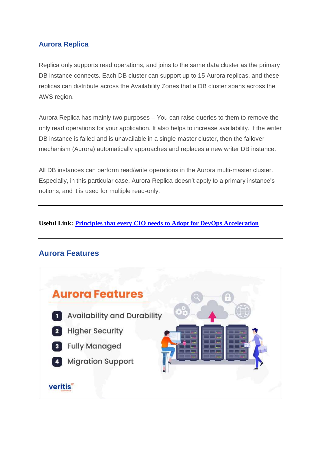## **Aurora Replica**

Replica only supports read operations, and joins to the same data cluster as the primary DB instance connects. Each DB cluster can support up to 15 Aurora replicas, and these replicas can distribute across the Availability Zones that a DB cluster spans across the AWS region.

Aurora Replica has mainly two purposes – You can raise queries to them to remove the only read operations for your application. It also helps to increase availability. If the writer DB instance is failed and is unavailable in a single master cluster, then the failover mechanism (Aurora) automatically approaches and replaces a new writer DB instance.

All DB instances can perform read/write operations in the Aurora multi-master cluster. Especially, in this particular case, Aurora Replica doesn't apply to a primary instance's notions, and it is used for multiple read-only.

#### **Useful Link: [Principles that every CIO needs to Adopt for DevOps Acceleration](https://www.veritis.com/blog/principles-that-every-chief-information-officer-cio-needs-to-adopt-for-devops-acceleration/)**

# **Aurora Features**

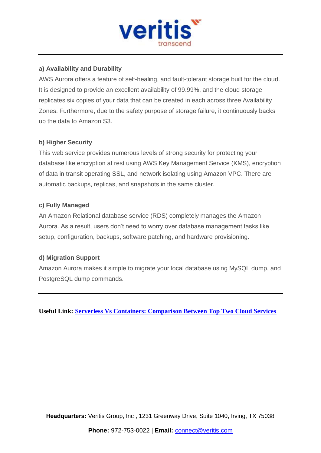

#### **a) Availability and Durability**

AWS Aurora offers a feature of self-healing, and fault-tolerant storage built for the cloud. It is designed to provide an excellent availability of 99.99%, and the cloud storage replicates six copies of your data that can be created in each across three Availability Zones. Furthermore, due to the safety purpose of storage failure, it continuously backs up the data to Amazon S3.

#### **b) Higher Security**

This web service provides numerous levels of strong security for protecting your database like encryption at rest using AWS Key Management Service (KMS), encryption of data in transit operating SSL, and network isolating using Amazon VPC. There are automatic backups, replicas, and snapshots in the same cluster.

#### **c) Fully Managed**

An Amazon Relational database service (RDS) completely manages the Amazon Aurora. As a result, users don't need to worry over database management tasks like setup, configuration, backups, software patching, and hardware provisioning.

#### **d) Migration Support**

Amazon Aurora makes it simple to migrate your local database using MySQL dump, and PostgreSQL dump commands.

**Useful Link: [Serverless Vs Containers: Comparison Between Top Two Cloud Services](https://www.veritis.com/blog/serverless-vs-containers-comparison-between-top-two-cloud-services/)**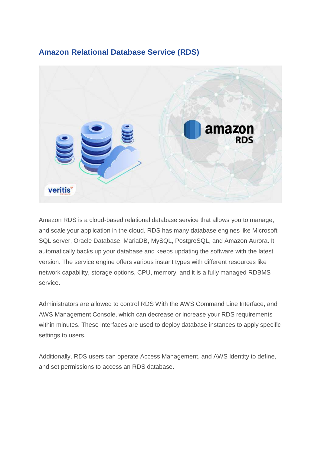# **Amazon Relational Database Service (RDS)**



Amazon RDS is a cloud-based relational database service that allows you to manage, and scale your application in the cloud. RDS has many database engines like Microsoft SQL server, Oracle Database, MariaDB, MySQL, PostgreSQL, and Amazon Aurora. It automatically backs up your database and keeps updating the software with the latest version. The service engine offers various instant types with different resources like network capability, storage options, CPU, memory, and it is a fully managed RDBMS service.

Administrators are allowed to control RDS With the AWS Command Line Interface, and AWS Management Console, which can decrease or increase your RDS requirements within minutes. These interfaces are used to deploy database instances to apply specific settings to users.

Additionally, RDS users can operate Access Management, and AWS Identity to define, and set permissions to access an RDS database.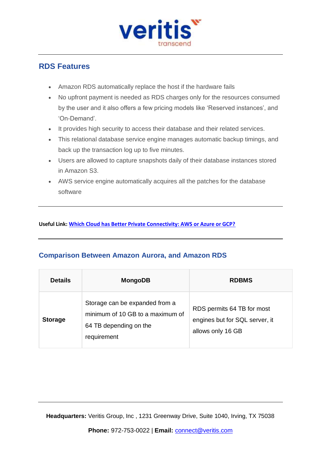

## **RDS Features**

- Amazon RDS automatically replace the host if the hardware fails
- No upfront payment is needed as RDS charges only for the resources consumed by the user and it also offers a few pricing models like 'Reserved instances', and 'On-Demand'.
- It provides high security to access their database and their related services.
- This relational database service engine manages automatic backup timings, and back up the transaction log up to five minutes.
- Users are allowed to capture snapshots daily of their database instances stored in Amazon S3.
- AWS service engine automatically acquires all the patches for the database software

**Useful Link[: Which Cloud has Better Private Connectivity: AWS or Azure or GCP?](https://www.veritis.com/blog/which-cloud-has-better-private-connectivity-aws-or-azure-or-gcp/)**

## **Comparison Between Amazon Aurora, and Amazon RDS**

| <b>Details</b> | <b>MongoDB</b>                                                                                              | <b>RDBMS</b>                                                                      |
|----------------|-------------------------------------------------------------------------------------------------------------|-----------------------------------------------------------------------------------|
| <b>Storage</b> | Storage can be expanded from a<br>minimum of 10 GB to a maximum of<br>64 TB depending on the<br>requirement | RDS permits 64 TB for most<br>engines but for SQL server, it<br>allows only 16 GB |

**Headquarters:** Veritis Group, Inc , 1231 Greenway Drive, Suite 1040, Irving, TX 75038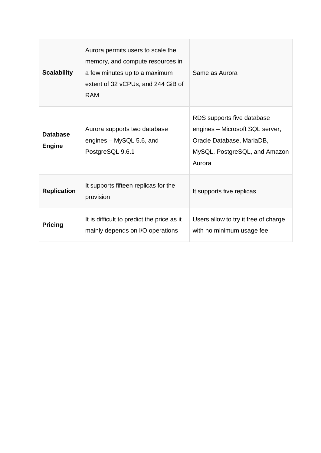| <b>Scalability</b>               | Aurora permits users to scale the<br>memory, and compute resources in<br>a few minutes up to a maximum<br>extent of 32 vCPUs, and 244 GiB of<br><b>RAM</b> | Same as Aurora                                                                                                                        |
|----------------------------------|------------------------------------------------------------------------------------------------------------------------------------------------------------|---------------------------------------------------------------------------------------------------------------------------------------|
| <b>Database</b><br><b>Engine</b> | Aurora supports two database<br>engines - MySQL 5.6, and<br>PostgreSQL 9.6.1                                                                               | RDS supports five database<br>engines – Microsoft SQL server,<br>Oracle Database, MariaDB,<br>MySQL, PostgreSQL, and Amazon<br>Aurora |
| <b>Replication</b>               | It supports fifteen replicas for the<br>provision                                                                                                          | It supports five replicas                                                                                                             |
| <b>Pricing</b>                   | It is difficult to predict the price as it<br>mainly depends on I/O operations                                                                             | Users allow to try it free of charge<br>with no minimum usage fee                                                                     |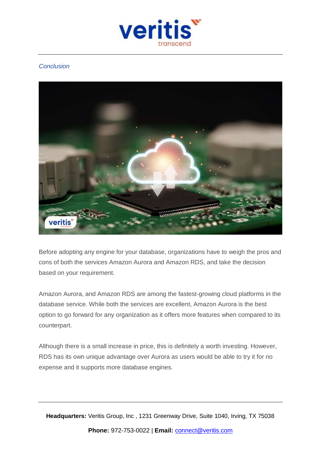

#### *Conclusion*



Before adopting any engine for your database, organizations have to weigh the pros and cons of both the services Amazon Aurora and Amazon RDS, and take the decision based on your requirement.

Amazon Aurora, and Amazon RDS are among the fastest-growing cloud platforms in the database service. While both the services are excellent, Amazon Aurora is the best option to go forward for any organization as it offers more features when compared to its counterpart.

Although there is a small increase in price, this is definitely a worth investing. However, RDS has its own unique advantage over Aurora as users would be able to try it for no expense and it supports more database engines.

**Headquarters:** Veritis Group, Inc , 1231 Greenway Drive, Suite 1040, Irving, TX 75038 **Phone:** 972-753-0022 | **Email:** [connect@veritis.com](mailto:connect@veritis.com)